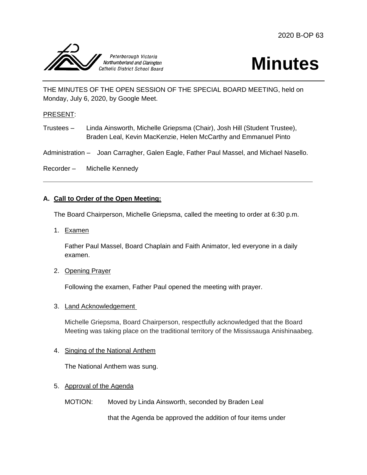



THE MINUTES OF THE OPEN SESSION OF THE SPECIAL BOARD MEETING, held on Monday, July 6, 2020, by Google Meet.

#### PRESENT:

Trustees – Linda Ainsworth, Michelle Griepsma (Chair), Josh Hill (Student Trustee), Braden Leal, Kevin MacKenzie, Helen McCarthy and Emmanuel Pinto

Administration – Joan Carragher, Galen Eagle, Father Paul Massel, and Michael Nasello.

Recorder – Michelle Kennedy

# **A. Call to Order of the Open Meeting:**

The Board Chairperson, Michelle Griepsma, called the meeting to order at 6:30 p.m.

1. Examen

Father Paul Massel, Board Chaplain and Faith Animator, led everyone in a daily examen.

2. Opening Prayer

Following the examen, Father Paul opened the meeting with prayer.

3. Land Acknowledgement

Michelle Griepsma, Board Chairperson, respectfully acknowledged that the Board Meeting was taking place on the traditional territory of the Mississauga Anishinaabeg.

#### 4. Singing of the National Anthem

The National Anthem was sung.

- 5. Approval of the Agenda
	- MOTION: Moved by Linda Ainsworth, seconded by Braden Leal

that the Agenda be approved the addition of four items under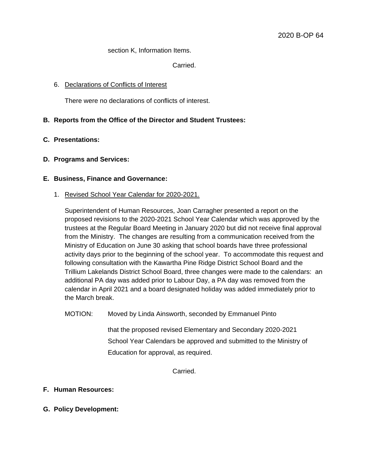#### section K, Information Items.

Carried.

#### 6. Declarations of Conflicts of Interest

There were no declarations of conflicts of interest.

# **B. Reports from the Office of the Director and Student Trustees:**

# **C. Presentations:**

# **D. Programs and Services:**

# **E. Business, Finance and Governance:**

1. Revised School Year Calendar for 2020-2021.

Superintendent of Human Resources, Joan Carragher presented a report on the proposed revisions to the 2020-2021 School Year Calendar which was approved by the trustees at the Regular Board Meeting in January 2020 but did not receive final approval from the Ministry. The changes are resulting from a communication received from the Ministry of Education on June 30 asking that school boards have three professional activity days prior to the beginning of the school year. To accommodate this request and following consultation with the Kawartha Pine Ridge District School Board and the Trillium Lakelands District School Board, three changes were made to the calendars: an additional PA day was added prior to Labour Day, a PA day was removed from the calendar in April 2021 and a board designated holiday was added immediately prior to the March break.

MOTION: Moved by Linda Ainsworth, seconded by Emmanuel Pinto

that the proposed revised Elementary and Secondary 2020-2021 School Year Calendars be approved and submitted to the Ministry of Education for approval, as required.

Carried.

# **F. Human Resources:**

**G. Policy Development:**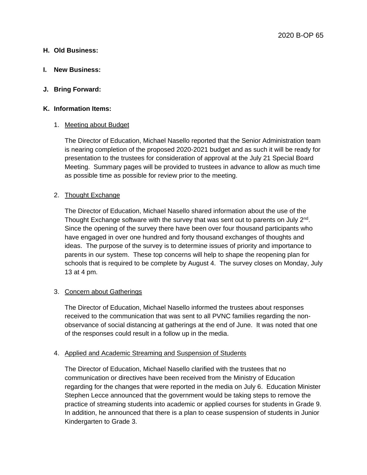# **H. Old Business:**

**I. New Business:** 

# **J. Bring Forward:**

#### **K. Information Items:**

#### 1. Meeting about Budget

The Director of Education, Michael Nasello reported that the Senior Administration team is nearing completion of the proposed 2020-2021 budget and as such it will be ready for presentation to the trustees for consideration of approval at the July 21 Special Board Meeting. Summary pages will be provided to trustees in advance to allow as much time as possible time as possible for review prior to the meeting.

# 2. Thought Exchange

The Director of Education, Michael Nasello shared information about the use of the Thought Exchange software with the survey that was sent out to parents on July 2<sup>nd</sup>. Since the opening of the survey there have been over four thousand participants who have engaged in over one hundred and forty thousand exchanges of thoughts and ideas. The purpose of the survey is to determine issues of priority and importance to parents in our system. These top concerns will help to shape the reopening plan for schools that is required to be complete by August 4. The survey closes on Monday, July 13 at 4 pm.

#### 3. Concern about Gatherings

The Director of Education, Michael Nasello informed the trustees about responses received to the communication that was sent to all PVNC families regarding the nonobservance of social distancing at gatherings at the end of June. It was noted that one of the responses could result in a follow up in the media.

#### 4. Applied and Academic Streaming and Suspension of Students

The Director of Education, Michael Nasello clarified with the trustees that no communication or directives have been received from the Ministry of Education regarding for the changes that were reported in the media on July 6. Education Minister Stephen Lecce announced that the government would be taking steps to remove the practice of streaming students into academic or applied courses for students in Grade 9. In addition, he announced that there is a plan to cease suspension of students in Junior Kindergarten to Grade 3.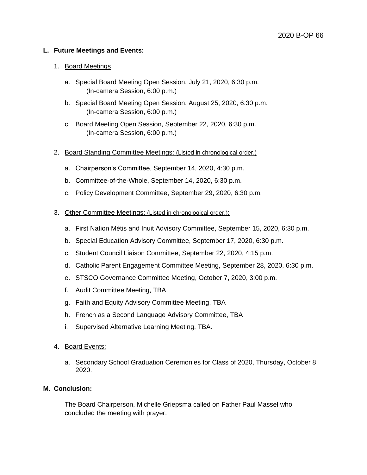# **L. Future Meetings and Events:**

#### 1. Board Meetings

- a. Special Board Meeting Open Session, July 21, 2020, 6:30 p.m. (In-camera Session, 6:00 p.m.)
- b. Special Board Meeting Open Session, August 25, 2020, 6:30 p.m. (In-camera Session, 6:00 p.m.)
- c. Board Meeting Open Session, September 22, 2020, 6:30 p.m. (In-camera Session, 6:00 p.m.)
- 2. Board Standing Committee Meetings: (Listed in chronological order.)
	- a. Chairperson's Committee, September 14, 2020, 4:30 p.m.
	- b. Committee-of-the-Whole, September 14, 2020, 6:30 p.m.
	- c. Policy Development Committee, September 29, 2020, 6:30 p.m.
- 3. Other Committee Meetings: (Listed in chronological order.):
	- a. First Nation Métis and Inuit Advisory Committee, September 15, 2020, 6:30 p.m.
	- b. Special Education Advisory Committee, September 17, 2020, 6:30 p.m.
	- c. Student Council Liaison Committee, September 22, 2020, 4:15 p.m.
	- d. Catholic Parent Engagement Committee Meeting, September 28, 2020, 6:30 p.m.
	- e. STSCO Governance Committee Meeting, October 7, 2020, 3:00 p.m.
	- f. Audit Committee Meeting, TBA
	- g. Faith and Equity Advisory Committee Meeting, TBA
	- h. French as a Second Language Advisory Committee, TBA
	- i. Supervised Alternative Learning Meeting, TBA.
- 4. Board Events:
	- a. Secondary School Graduation Ceremonies for Class of 2020, Thursday, October 8, 2020.

# **M. Conclusion:**

The Board Chairperson, Michelle Griepsma called on Father Paul Massel who concluded the meeting with prayer.